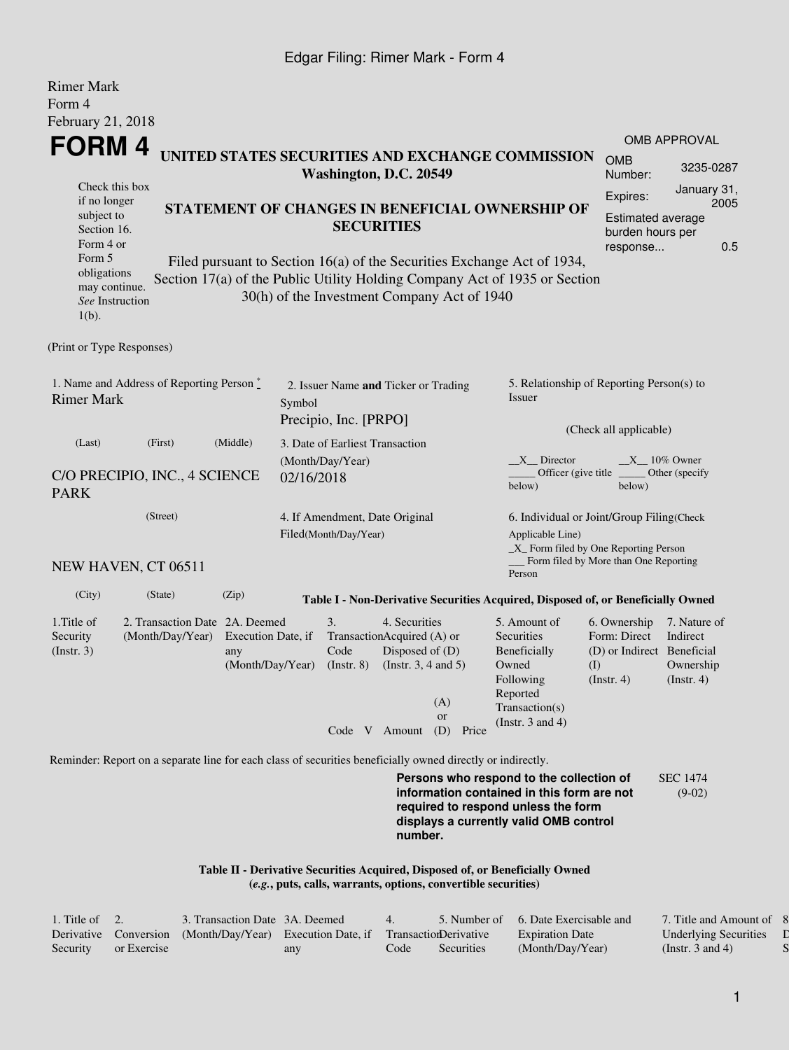## Edgar Filing: Rimer Mark - Form 4

| <b>Rimer Mark</b>                                                                                           |                                                    |                                                                                                                                                                                                                  |        |                                                               |                                                                                            |                                                                                                  |       |                                                                                                                               |                                                                                       |                                                        |  |  |
|-------------------------------------------------------------------------------------------------------------|----------------------------------------------------|------------------------------------------------------------------------------------------------------------------------------------------------------------------------------------------------------------------|--------|---------------------------------------------------------------|--------------------------------------------------------------------------------------------|--------------------------------------------------------------------------------------------------|-------|-------------------------------------------------------------------------------------------------------------------------------|---------------------------------------------------------------------------------------|--------------------------------------------------------|--|--|
| Form 4<br>February 21, 2018                                                                                 |                                                    |                                                                                                                                                                                                                  |        |                                                               |                                                                                            |                                                                                                  |       |                                                                                                                               |                                                                                       |                                                        |  |  |
|                                                                                                             |                                                    |                                                                                                                                                                                                                  |        |                                                               |                                                                                            |                                                                                                  |       |                                                                                                                               |                                                                                       | <b>OMB APPROVAL</b>                                    |  |  |
| FORM 4                                                                                                      | UNITED STATES SECURITIES AND EXCHANGE COMMISSION   |                                                                                                                                                                                                                  |        | Washington, D.C. 20549                                        | <b>OMB</b><br>Number:                                                                      | 3235-0287                                                                                        |       |                                                                                                                               |                                                                                       |                                                        |  |  |
| Check this box<br>if no longer<br>subject to<br>Section 16.<br>Form 4 or                                    |                                                    | STATEMENT OF CHANGES IN BENEFICIAL OWNERSHIP OF<br><b>SECURITIES</b>                                                                                                                                             |        |                                                               |                                                                                            |                                                                                                  |       |                                                                                                                               |                                                                                       |                                                        |  |  |
| Form 5<br>obligations<br>may continue.<br>See Instruction<br>$1(b)$ .                                       |                                                    | response<br>Filed pursuant to Section 16(a) of the Securities Exchange Act of 1934,<br>Section 17(a) of the Public Utility Holding Company Act of 1935 or Section<br>30(h) of the Investment Company Act of 1940 |        |                                                               |                                                                                            |                                                                                                  |       |                                                                                                                               |                                                                                       |                                                        |  |  |
| (Print or Type Responses)                                                                                   |                                                    |                                                                                                                                                                                                                  |        |                                                               |                                                                                            |                                                                                                  |       |                                                                                                                               |                                                                                       |                                                        |  |  |
| 1. Name and Address of Reporting Person $\stackrel{*}{\mathbb{L}}$<br><b>Rimer Mark</b>                     |                                                    |                                                                                                                                                                                                                  | Symbol | 2. Issuer Name and Ticker or Trading<br>Precipio, Inc. [PRPO] |                                                                                            |                                                                                                  |       | 5. Relationship of Reporting Person(s) to<br>Issuer                                                                           |                                                                                       |                                                        |  |  |
| (Last)                                                                                                      | (First)                                            | (Middle)                                                                                                                                                                                                         |        | 3. Date of Earliest Transaction                               |                                                                                            |                                                                                                  |       | (Check all applicable)                                                                                                        |                                                                                       |                                                        |  |  |
| C/O PRECIPIO, INC., 4 SCIENCE<br><b>PARK</b>                                                                | 02/16/2018                                         | (Month/Day/Year)                                                                                                                                                                                                 |        |                                                               |                                                                                            | $X_{n}$ Director<br>$X_10\%$ Owner<br>Officer (give title)<br>Other (specify<br>below)<br>below) |       |                                                                                                                               |                                                                                       |                                                        |  |  |
| (Street)                                                                                                    |                                                    |                                                                                                                                                                                                                  |        | 4. If Amendment, Date Original<br>Filed(Month/Day/Year)       |                                                                                            |                                                                                                  |       | 6. Individual or Joint/Group Filing(Check<br>Applicable Line)<br>_X_ Form filed by One Reporting Person                       |                                                                                       |                                                        |  |  |
| NEW HAVEN, CT 06511                                                                                         |                                                    |                                                                                                                                                                                                                  |        |                                                               |                                                                                            |                                                                                                  |       | Person                                                                                                                        | Form filed by More than One Reporting                                                 |                                                        |  |  |
| (City)                                                                                                      | (State)                                            | (Zip)                                                                                                                                                                                                            |        |                                                               |                                                                                            |                                                                                                  |       | Table I - Non-Derivative Securities Acquired, Disposed of, or Beneficially Owned                                              |                                                                                       |                                                        |  |  |
| 1. Title of<br>Security<br>(Insert. 3)                                                                      | 2. Transaction Date 2A. Deemed<br>(Month/Day/Year) | Execution Date, if<br>any<br>(Month/Day/Year)                                                                                                                                                                    |        | 3.<br>Code<br>$($ Instr. 8 $)$                                | 4. Securities<br>TransactionAcquired (A) or<br>Disposed of (D)<br>(Instr. $3, 4$ and $5$ ) | (A)<br><sub>or</sub>                                                                             |       | 5. Amount of<br>Securities<br>Beneficially<br>Owned<br>Following<br>Reported<br>Transaction(s)                                | 6. Ownership<br>Form: Direct<br>(D) or Indirect Beneficial<br>(I)<br>$($ Instr. 4 $)$ | 7. Nature of<br>Indirect<br>Ownership<br>$($ lnstr. 4) |  |  |
|                                                                                                             |                                                    |                                                                                                                                                                                                                  |        |                                                               | Code V Amount                                                                              | (D)                                                                                              | Price | (Instr. $3$ and $4$ )                                                                                                         |                                                                                       |                                                        |  |  |
| Reminder: Report on a separate line for each class of securities beneficially owned directly or indirectly. |                                                    |                                                                                                                                                                                                                  |        |                                                               |                                                                                            |                                                                                                  |       |                                                                                                                               |                                                                                       |                                                        |  |  |
|                                                                                                             |                                                    |                                                                                                                                                                                                                  |        |                                                               |                                                                                            |                                                                                                  |       | Persons who respond to the collection of<br>information contained in this form are not<br>required to respond unless the form |                                                                                       | <b>SEC 1474</b><br>$(9-02)$                            |  |  |

**Table II - Derivative Securities Acquired, Disposed of, or Beneficially Owned (***e.g.***, puts, calls, warrants, options, convertible securities)**

| 1. Title of $\quad 2.$ |             | 3. Transaction Date 3A. Deemed                                                   |     | $\overline{4}$ |            | 5. Number of 6. Date Exercisable and | 7. Title and Amount of 8     |  |
|------------------------|-------------|----------------------------------------------------------------------------------|-----|----------------|------------|--------------------------------------|------------------------------|--|
|                        |             | Derivative Conversion (Month/Day/Year) Execution Date, if Transaction Derivative |     |                |            | <b>Expiration Date</b>               | <b>Underlying Securities</b> |  |
| Security               | or Exercise |                                                                                  | any | Code           | Securities | (Month/Day/Year)                     | (Instr. 3 and 4)             |  |

**number.**

**displays a currently valid OMB control**

8. Price of  $\Gamma$